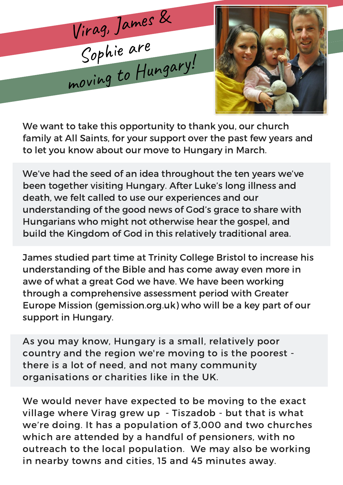



We want to take this opportunity to thank you, our church family at All Saints, for your support over the past few years and to let you know about our move to Hungary in March.

We've had the seed of an idea throughout the ten years we've been together visiting Hungary. After Luke's long illness and death, we felt called to use our experiences and our understanding of the good news of God's grace to share with Hungarians who might not otherwise hear the gospel, and build the Kingdom of God in this relatively traditional area.

James studied part time at Trinity College Bristol to increase his understanding of the Bible and has come away even more in awe of what a great God we have. We have been working through a comprehensive assessment period with Greater Europe Mission (gemission.org.uk) who will be a key part of our support in Hungary.

As you may know, Hungary is a small, relatively poor country and the region we're moving to is the poorest there is a lot of need, and not many community organisations or charities like in the UK.

We would never have expected to be moving to the exact village where Virag grew up - Tiszadob - but that is what we're doing. It has a population of 3,000 and two churches which are attended by a handful of pensioners, with no outreach to the local population. We may also be working in nearby towns and cities, 15 and 45 minutes away.